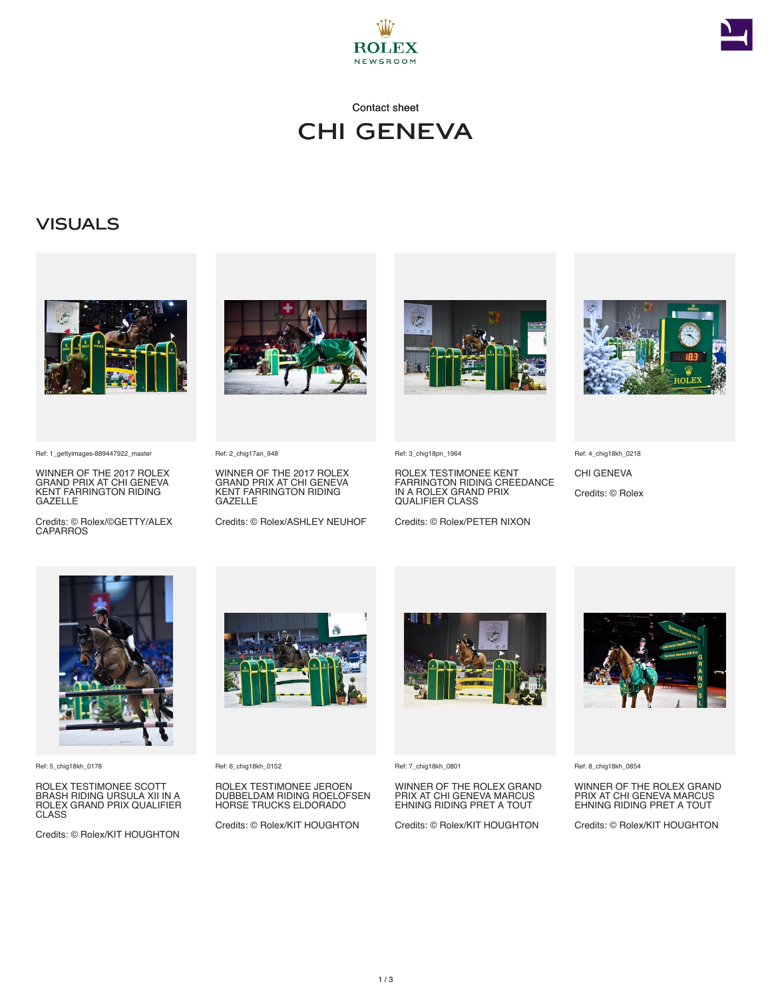



### Contact sheet CHI GENEVA

## **VISUALS**



Ref: 1\_gettyimages-889447922\_master

WINNER OF THE 2017 ROLEX GRAND PRIX AT CHI GENEVA KENT FARRINGTON RIDING GAZELLE

Credits: © Rolex/©GETTY/ALEX **CAPARROS** 



Ref: 2\_chig17an\_948

WINNER OF THE 2017 ROLEX GRAND PRIX AT CHI GENEVA KENT FARRINGTON RIDING GAZELLE

Credits: © Rolex/ASHLEY NEUHOF



Ref: 3\_chig18pn\_1964

ROLEX TESTIMONEE KENT FARRINGTON RIDING CREEDANCE IN A ROLEX GRAND PRIX QUALIFIER CLASS

Credits: © Rolex/PETER NIXON



Ref: 4\_chig18kh\_0218

CHI GENEVA Credits: © Rolex



Ref: 5\_chig18kh\_0178

ROLEX TESTIMONEE SCOTT BRASH RIDING URSULA XII IN A ROLEX GRAND PRIX QUALIFIER CLASS

Credits: © Rolex/KIT HOUGHTON



Ref: 6\_chig18kh\_0152

ROLEX TESTIMONEE JEROEN DUBBELDAM RIDING ROELOFSEN HORSE TRUCKS ELDORADO

Credits: © Rolex/KIT HOUGHTON



Ref: 7\_chig18kh\_0801

WINNER OF THE ROLEX GRAND PRIX AT CHI GENEVA MARCUS EHNING RIDING PRET A TOUT

Credits: © Rolex/KIT HOUGHTON



Ref: 8\_chig18kh\_0854

WINNER OF THE ROLEX GRAND PRIX AT CHI GENEVA MARCUS EHNING RIDING PRET A TOUT

Credits: © Rolex/KIT HOUGHTON

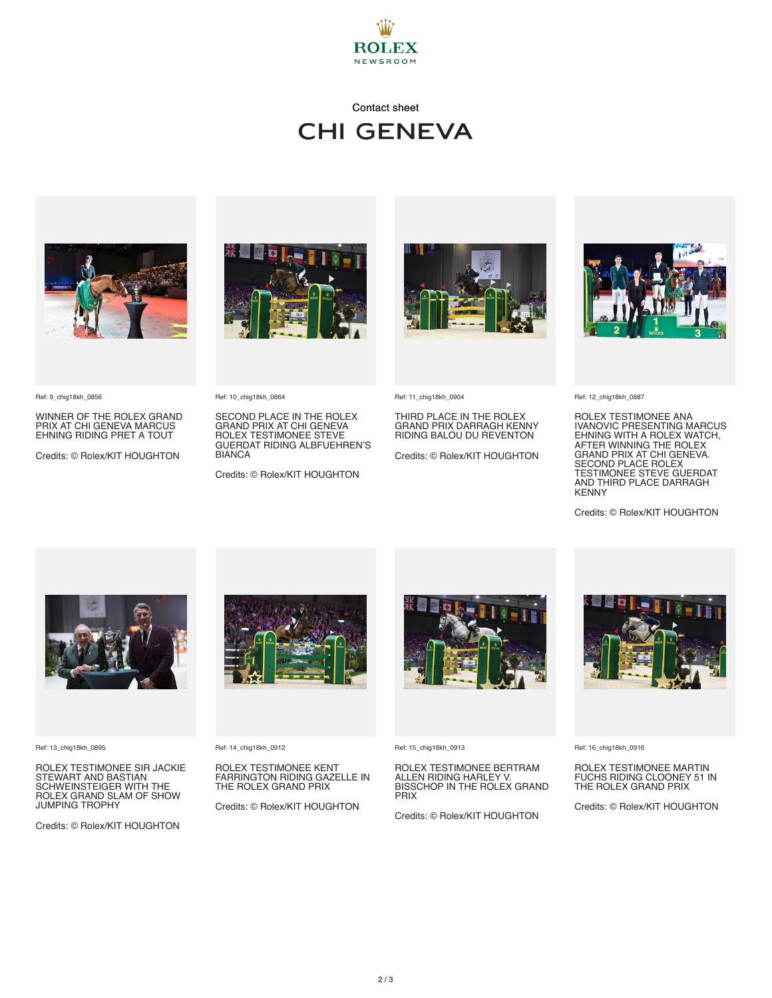

## Contact sheet CHI GENEVA







Ref: 9\_chig18kh\_0856

WINNER OF THE ROLEX GRAND PRIX AT CHI GENEVA MARCUS EHNING RIDING PRET A TOUT

Credits: © Rolex/KIT HOUGHTON

Ref: 10\_chig18kh\_0864

SECOND PLACE IN THE ROLEX GRAND PRIX AT CHI GENEVA ROLEX TESTIMONEE STEVE GUERDAT RIDING ALBFUEHREN'S BIANCA

Credits: © Rolex/KIT HOUGHTON



Ref: 11\_chig18kh\_0904

THIRD PLACE IN THE ROLEX GRAND PRIX DARRAGH KENNY RIDING BALOU DU REVENTON

Credits: © Rolex/KIT HOUGHTON



Ref: 12\_chig18kh\_0887

ROLEX TESTIMONEE ANA IVANOVIC PRESENTING MARCUS EHNING WITH A ROLEX WATCH,<br>AFTER WINNING THE ROLEX<br>GRAND PRIX AT CHI GENEVA.<br>SECOND PLACE ROLEX<br>TESTIMONEE STEVE GUERDAT<br>AND THIRD PLACE DARRAGH **KENNY** 

Credits: © Rolex/KIT HOUGHTON



Ref: 13\_chig18kh\_0895

ROLEX TESTIMONEE SIR JACKIE STEWART AND BASTIAN SCHWEINSTEIGER WITH THE ROLEX GRAND SLAM OF SHOW JUMPING TROPHY

Credits: © Rolex/KIT HOUGHTON



Ref: 14\_chig18kh\_0912

ROLEX TESTIMONEE KENT FARRINGTON RIDING GAZELLE IN THE ROLEX GRAND PRIX

Credits: © Rolex/KIT HOUGHTON



Ref: 15\_chig18kh\_0913

ROLEX TESTIMONEE BERTRAM ALLEN RIDING HARLEY V. BISSCHOP IN THE ROLEX GRAND **PRIX** 

Credits: © Rolex/KIT HOUGHTON



Ref: 16\_chig18kh\_0916

ROLEX TESTIMONEE MARTIN FUCHS RIDING CLOONEY 51 IN THE ROLEX GRAND PRIX

Credits: © Rolex/KIT HOUGHTON

2 / 3